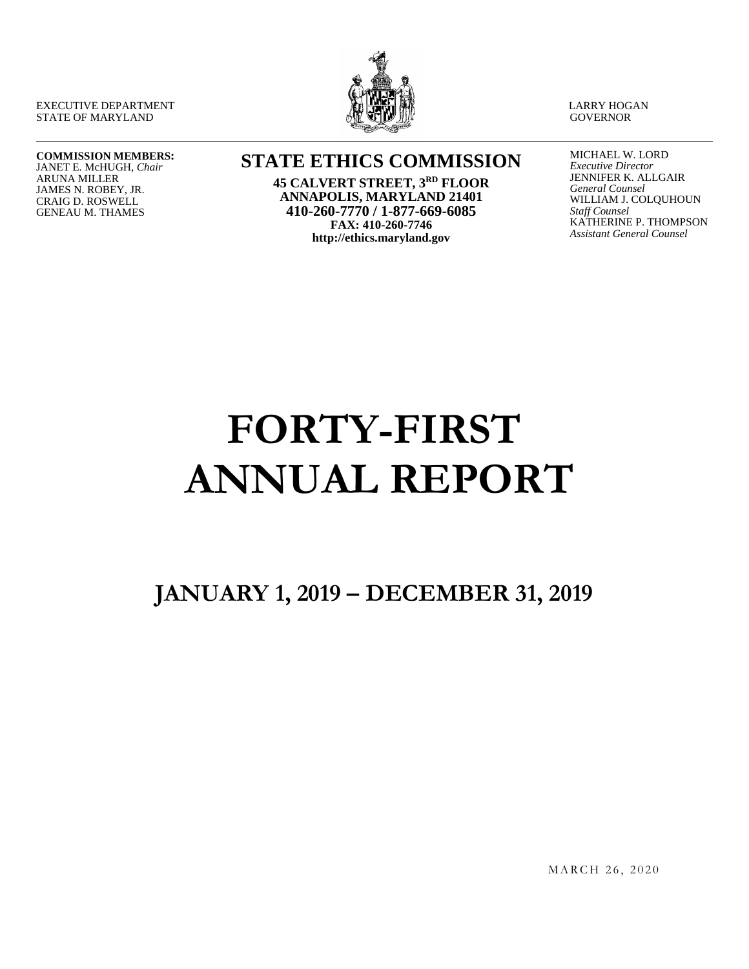EXECUTIVE DEPARTMENT STATE OF MARYLAND



LARRY HOGAN **GOVERNOR** 

#### **COMMISSION MEMBERS:** JANET E. McHUGH, *Chair*

ARUNA MILLER JAMES N. ROBEY, JR. CRAIG D. ROSWELL GENEAU M. THAMES

## **STATE ETHICS COMMISSION**

**45 CALVERT STREET, 3RD FLOOR ANNAPOLIS, MARYLAND 21401 410-260-7770 / 1-877-669-6085 FAX: 410-260-7746 http://ethics.maryland.gov**

MICHAEL W. LORD *Executive Director* JENNIFER K. ALLGAIR *General Counsel* WILLIAM J. COLQUHOUN *Staff Counsel* KATHERINE P. THOMPSON *Assistant General Counsel*

# **FORTY-FIRST ANNUAL REPORT**

# **JANUARY 1, 2019 – DECEMBER 31, 2019**

MARCH 26, 2020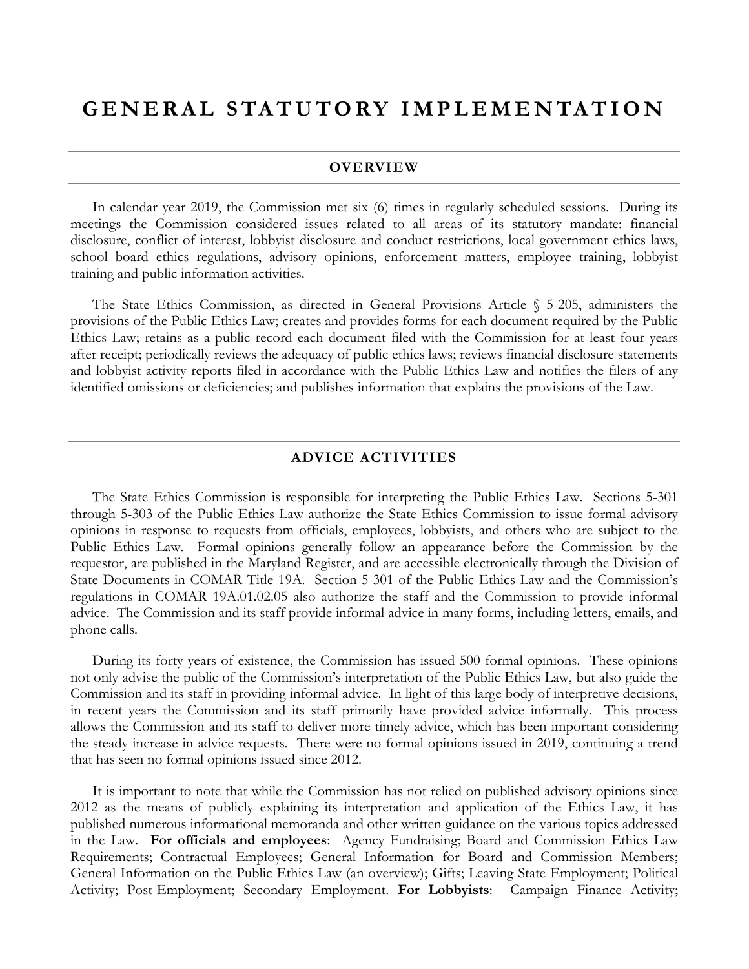## **GENERAL STATUTORY IM PLEMENTATION**

#### **OVERVIEW**

In calendar year 2019, the Commission met six (6) times in regularly scheduled sessions. During its meetings the Commission considered issues related to all areas of its statutory mandate: financial disclosure, conflict of interest, lobbyist disclosure and conduct restrictions, local government ethics laws, school board ethics regulations, advisory opinions, enforcement matters, employee training, lobbyist training and public information activities.

The State Ethics Commission, as directed in General Provisions Article § 5-205, administers the provisions of the Public Ethics Law; creates and provides forms for each document required by the Public Ethics Law; retains as a public record each document filed with the Commission for at least four years after receipt; periodically reviews the adequacy of public ethics laws; reviews financial disclosure statements and lobbyist activity reports filed in accordance with the Public Ethics Law and notifies the filers of any identified omissions or deficiencies; and publishes information that explains the provisions of the Law.

#### **ADVICE ACTIVITIES**

The State Ethics Commission is responsible for interpreting the Public Ethics Law. Sections 5-301 through 5-303 of the Public Ethics Law authorize the State Ethics Commission to issue formal advisory opinions in response to requests from officials, employees, lobbyists, and others who are subject to the Public Ethics Law. Formal opinions generally follow an appearance before the Commission by the requestor, are published in the Maryland Register, and are accessible electronically through the Division of State Documents in COMAR Title 19A. Section 5-301 of the Public Ethics Law and the Commission's regulations in COMAR 19A.01.02.05 also authorize the staff and the Commission to provide informal advice. The Commission and its staff provide informal advice in many forms, including letters, emails, and phone calls.

During its forty years of existence, the Commission has issued 500 formal opinions. These opinions not only advise the public of the Commission's interpretation of the Public Ethics Law, but also guide the Commission and its staff in providing informal advice. In light of this large body of interpretive decisions, in recent years the Commission and its staff primarily have provided advice informally. This process allows the Commission and its staff to deliver more timely advice, which has been important considering the steady increase in advice requests. There were no formal opinions issued in 2019, continuing a trend that has seen no formal opinions issued since 2012.

It is important to note that while the Commission has not relied on published advisory opinions since 2012 as the means of publicly explaining its interpretation and application of the Ethics Law, it has published numerous informational memoranda and other written guidance on the various topics addressed in the Law. **For officials and employees**: Agency Fundraising; Board and Commission Ethics Law Requirements; Contractual Employees; General Information for Board and Commission Members; General Information on the Public Ethics Law (an overview); Gifts; Leaving State Employment; Political Activity; Post-Employment; Secondary Employment. **For Lobbyists**: Campaign Finance Activity;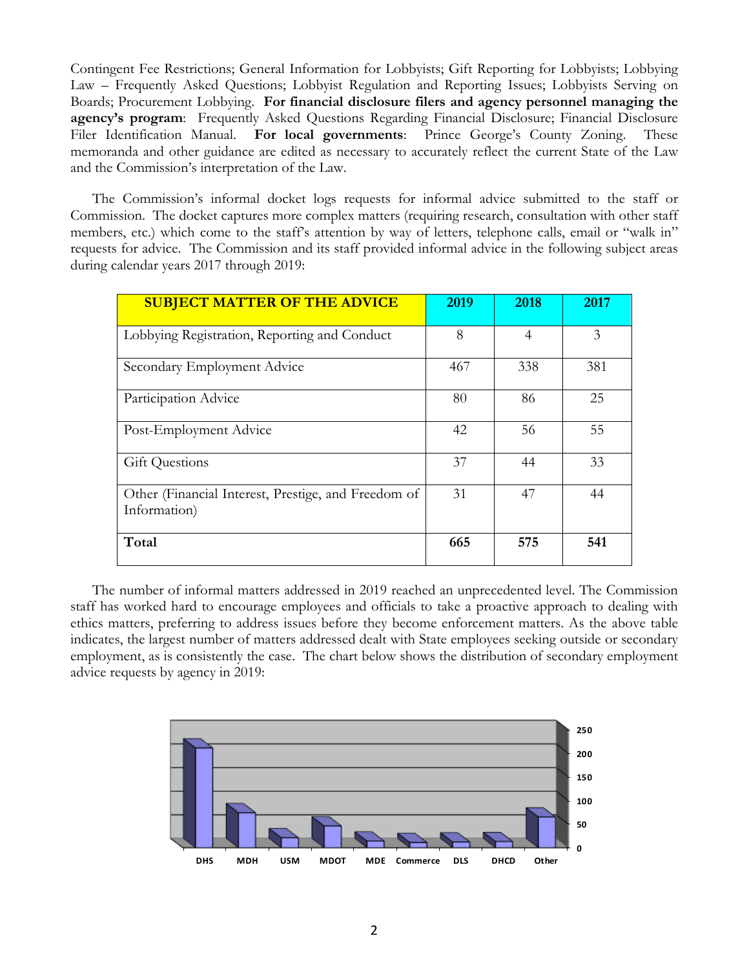Contingent Fee Restrictions; General Information for Lobbyists; Gift Reporting for Lobbyists; Lobbying Law – Frequently Asked Questions; Lobbyist Regulation and Reporting Issues; Lobbyists Serving on Boards; Procurement Lobbying. **For financial disclosure filers and agency personnel managing the agency's program**: Frequently Asked Questions Regarding Financial Disclosure; Financial Disclosure Filer Identification Manual. **For local governments**: Prince George's County Zoning. These memoranda and other guidance are edited as necessary to accurately reflect the current State of the Law and the Commission's interpretation of the Law.

The Commission's informal docket logs requests for informal advice submitted to the staff or Commission. The docket captures more complex matters (requiring research, consultation with other staff members, etc.) which come to the staff's attention by way of letters, telephone calls, email or "walk in" requests for advice. The Commission and its staff provided informal advice in the following subject areas during calendar years 2017 through 2019:

| <b>SUBJECT MATTER OF THE ADVICE</b>                                 | 2019 | 2018           | 2017 |
|---------------------------------------------------------------------|------|----------------|------|
| Lobbying Registration, Reporting and Conduct                        | 8    | $\overline{4}$ | 3    |
| Secondary Employment Advice                                         | 467  | 338            | 381  |
| Participation Advice                                                | 80   | 86             | 25   |
| Post-Employment Advice                                              | 42   | 56             | 55   |
| <b>Gift Questions</b>                                               | 37   | 44             | 33   |
| Other (Financial Interest, Prestige, and Freedom of<br>Information) | 31   | 47             | 44   |
| Total                                                               | 665  | 575            | 541  |

The number of informal matters addressed in 2019 reached an unprecedented level. The Commission staff has worked hard to encourage employees and officials to take a proactive approach to dealing with ethics matters, preferring to address issues before they become enforcement matters. As the above table indicates, the largest number of matters addressed dealt with State employees seeking outside or secondary employment, as is consistently the case. The chart below shows the distribution of secondary employment advice requests by agency in 2019:

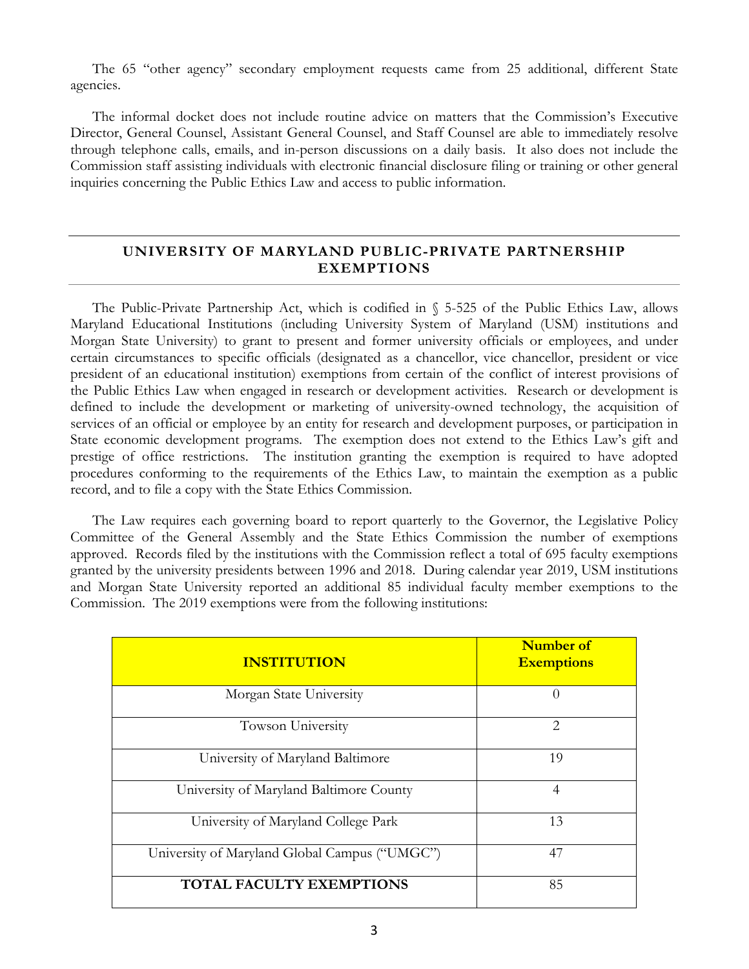The 65 "other agency" secondary employment requests came from 25 additional, different State agencies.

The informal docket does not include routine advice on matters that the Commission's Executive Director, General Counsel, Assistant General Counsel, and Staff Counsel are able to immediately resolve through telephone calls, emails, and in-person discussions on a daily basis. It also does not include the Commission staff assisting individuals with electronic financial disclosure filing or training or other general inquiries concerning the Public Ethics Law and access to public information.

#### **UNIVERSITY OF MARYLAND PUBLIC-PRIVATE PARTNERSHIP EXEMPTIONS**

The Public-Private Partnership Act, which is codified in § 5-525 of the Public Ethics Law, allows Maryland Educational Institutions (including University System of Maryland (USM) institutions and Morgan State University) to grant to present and former university officials or employees, and under certain circumstances to specific officials (designated as a chancellor, vice chancellor, president or vice president of an educational institution) exemptions from certain of the conflict of interest provisions of the Public Ethics Law when engaged in research or development activities. Research or development is defined to include the development or marketing of university-owned technology, the acquisition of services of an official or employee by an entity for research and development purposes, or participation in State economic development programs. The exemption does not extend to the Ethics Law's gift and prestige of office restrictions. The institution granting the exemption is required to have adopted procedures conforming to the requirements of the Ethics Law, to maintain the exemption as a public record, and to file a copy with the State Ethics Commission.

The Law requires each governing board to report quarterly to the Governor, the Legislative Policy Committee of the General Assembly and the State Ethics Commission the number of exemptions approved. Records filed by the institutions with the Commission reflect a total of 695 faculty exemptions granted by the university presidents between 1996 and 2018. During calendar year 2019, USM institutions and Morgan State University reported an additional 85 individual faculty member exemptions to the Commission. The 2019 exemptions were from the following institutions:

| <b>INSTITUTION</b>                            | <b>Number of</b><br><b>Exemptions</b> |
|-----------------------------------------------|---------------------------------------|
| Morgan State University                       | $\left( \right)$                      |
| Towson University                             | $\mathcal{D}_{\mathcal{L}}$           |
| University of Maryland Baltimore              | 19                                    |
| University of Maryland Baltimore County       | 4                                     |
| University of Maryland College Park           | 13                                    |
| University of Maryland Global Campus ("UMGC") | 47                                    |
| <b>TOTAL FACULTY EXEMPTIONS</b>               | 85                                    |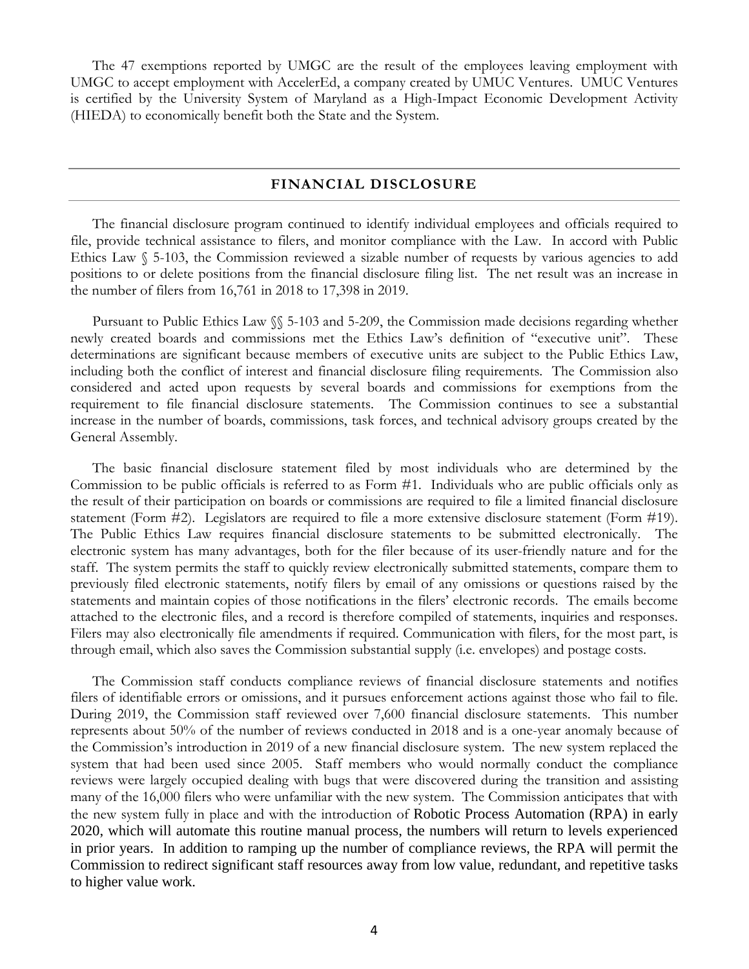The 47 exemptions reported by UMGC are the result of the employees leaving employment with UMGC to accept employment with AccelerEd, a company created by UMUC Ventures. UMUC Ventures is certified by the University System of Maryland as a High-Impact Economic Development Activity (HIEDA) to economically benefit both the State and the System.

#### **FINANCIAL DISCLOSURE**

The financial disclosure program continued to identify individual employees and officials required to file, provide technical assistance to filers, and monitor compliance with the Law. In accord with Public Ethics Law § 5-103, the Commission reviewed a sizable number of requests by various agencies to add positions to or delete positions from the financial disclosure filing list. The net result was an increase in the number of filers from 16,761 in 2018 to 17,398 in 2019.

Pursuant to Public Ethics Law §§ 5-103 and 5-209, the Commission made decisions regarding whether newly created boards and commissions met the Ethics Law's definition of "executive unit". These determinations are significant because members of executive units are subject to the Public Ethics Law, including both the conflict of interest and financial disclosure filing requirements. The Commission also considered and acted upon requests by several boards and commissions for exemptions from the requirement to file financial disclosure statements. The Commission continues to see a substantial increase in the number of boards, commissions, task forces, and technical advisory groups created by the General Assembly.

The basic financial disclosure statement filed by most individuals who are determined by the Commission to be public officials is referred to as Form #1. Individuals who are public officials only as the result of their participation on boards or commissions are required to file a limited financial disclosure statement (Form #2). Legislators are required to file a more extensive disclosure statement (Form #19). The Public Ethics Law requires financial disclosure statements to be submitted electronically. The electronic system has many advantages, both for the filer because of its user-friendly nature and for the staff. The system permits the staff to quickly review electronically submitted statements, compare them to previously filed electronic statements, notify filers by email of any omissions or questions raised by the statements and maintain copies of those notifications in the filers' electronic records. The emails become attached to the electronic files, and a record is therefore compiled of statements, inquiries and responses. Filers may also electronically file amendments if required. Communication with filers, for the most part, is through email, which also saves the Commission substantial supply (i.e. envelopes) and postage costs.

The Commission staff conducts compliance reviews of financial disclosure statements and notifies filers of identifiable errors or omissions, and it pursues enforcement actions against those who fail to file. During 2019, the Commission staff reviewed over 7,600 financial disclosure statements. This number represents about 50% of the number of reviews conducted in 2018 and is a one-year anomaly because of the Commission's introduction in 2019 of a new financial disclosure system. The new system replaced the system that had been used since 2005. Staff members who would normally conduct the compliance reviews were largely occupied dealing with bugs that were discovered during the transition and assisting many of the 16,000 filers who were unfamiliar with the new system. The Commission anticipates that with the new system fully in place and with the introduction of Robotic Process Automation (RPA) in early 2020, which will automate this routine manual process, the numbers will return to levels experienced in prior years. In addition to ramping up the number of compliance reviews, the RPA will permit the Commission to redirect significant staff resources away from low value, redundant, and repetitive tasks to higher value work.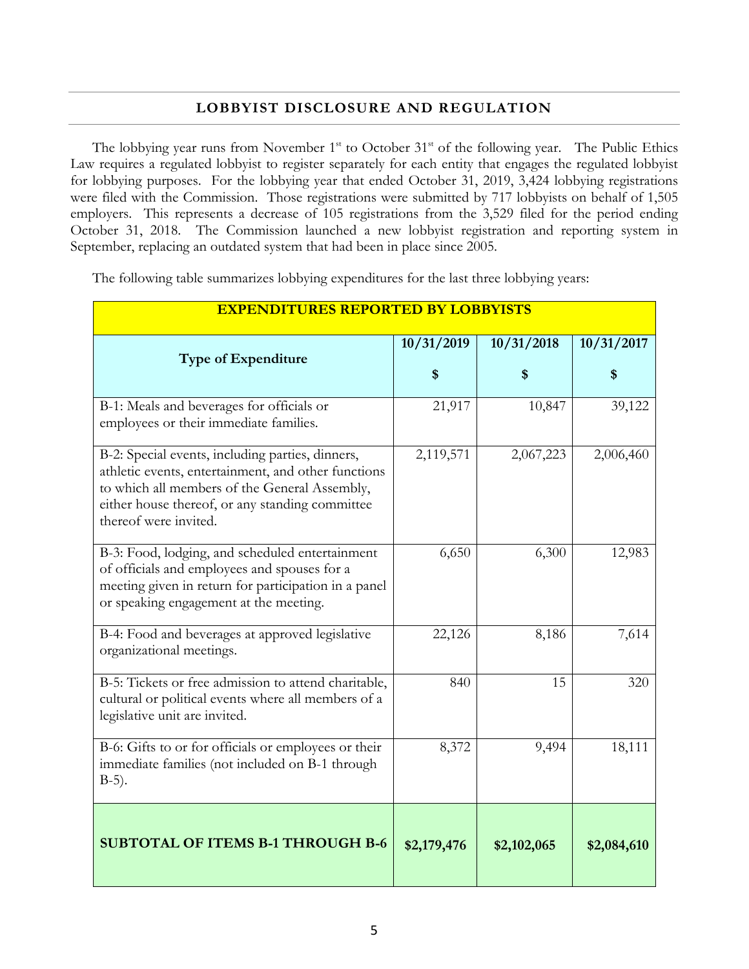#### **LOBBYIST DISCLOSURE AND REGULATION**

The lobbying year runs from November  $1<sup>st</sup>$  to October  $31<sup>st</sup>$  of the following year. The Public Ethics Law requires a regulated lobbyist to register separately for each entity that engages the regulated lobbyist for lobbying purposes. For the lobbying year that ended October 31, 2019, 3,424 lobbying registrations were filed with the Commission. Those registrations were submitted by 717 lobbyists on behalf of 1,505 employers. This represents a decrease of 105 registrations from the 3,529 filed for the period ending October 31, 2018. The Commission launched a new lobbyist registration and reporting system in September, replacing an outdated system that had been in place since 2005.

The following table summarizes lobbying expenditures for the last three lobbying years:

| <b>EXPENDITURES REPORTED BY LOBBYISTS</b>                                                                                                                                                                                            |                  |                  |                  |
|--------------------------------------------------------------------------------------------------------------------------------------------------------------------------------------------------------------------------------------|------------------|------------------|------------------|
| <b>Type of Expenditure</b>                                                                                                                                                                                                           | 10/31/2019<br>\$ | 10/31/2018<br>\$ | 10/31/2017<br>\$ |
| B-1: Meals and beverages for officials or<br>employees or their immediate families.                                                                                                                                                  | 21,917           | 10,847           | 39,122           |
| B-2: Special events, including parties, dinners,<br>athletic events, entertainment, and other functions<br>to which all members of the General Assembly,<br>either house thereof, or any standing committee<br>thereof were invited. | 2,119,571        | 2,067,223        | 2,006,460        |
| B-3: Food, lodging, and scheduled entertainment<br>of officials and employees and spouses for a<br>meeting given in return for participation in a panel<br>or speaking engagement at the meeting.                                    | 6,650            | 6,300            | 12,983           |
| B-4: Food and beverages at approved legislative<br>organizational meetings.                                                                                                                                                          | 22,126           | 8,186            | 7,614            |
| B-5: Tickets or free admission to attend charitable,<br>cultural or political events where all members of a<br>legislative unit are invited.                                                                                         | 840              | 15               | 320              |
| B-6: Gifts to or for officials or employees or their<br>immediate families (not included on B-1 through<br>$B-5$ ).                                                                                                                  | 8,372            | 9,494            | 18,111           |
| <b>SUBTOTAL OF ITEMS B-1 THROUGH B-6</b>                                                                                                                                                                                             | \$2,179,476      | \$2,102,065      | \$2,084,610      |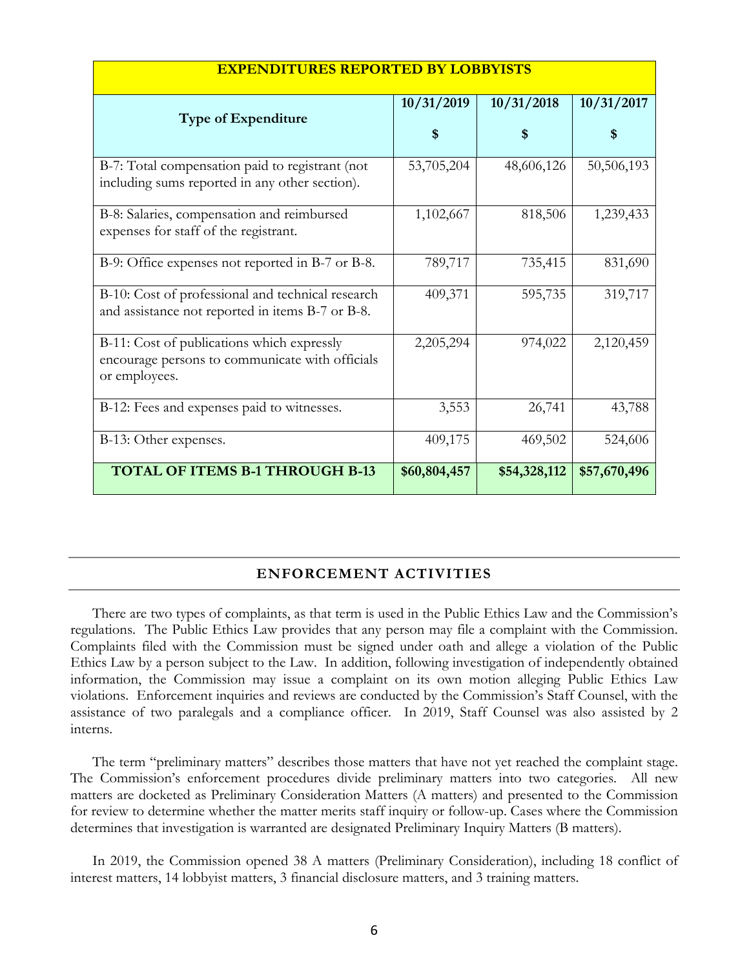| <u>EAFENDITURES REFURTED BI LUBBIISIS</u>                                                                      |              |              |              |
|----------------------------------------------------------------------------------------------------------------|--------------|--------------|--------------|
| <b>Type of Expenditure</b>                                                                                     | 10/31/2019   | 10/31/2018   | 10/31/2017   |
|                                                                                                                | S            |              |              |
| B-7: Total compensation paid to registrant (not<br>including sums reported in any other section).              | 53,705,204   | 48,606,126   | 50,506,193   |
| B-8: Salaries, compensation and reimbursed<br>expenses for staff of the registrant.                            | 1,102,667    | 818,506      | 1,239,433    |
| B-9: Office expenses not reported in B-7 or B-8.                                                               | 789,717      | 735,415      | 831,690      |
| B-10: Cost of professional and technical research<br>and assistance not reported in items B-7 or B-8.          | 409,371      | 595,735      | 319,717      |
| B-11: Cost of publications which expressly<br>encourage persons to communicate with officials<br>or employees. | 2,205,294    | 974,022      | 2,120,459    |
| B-12: Fees and expenses paid to witnesses.                                                                     | 3,553        | 26,741       | 43,788       |
| B-13: Other expenses.                                                                                          | 409,175      | 469,502      | 524,606      |
| <b>TOTAL OF ITEMS B-1 THROUGH B-13</b>                                                                         | \$60,804,457 | \$54,328,112 | \$57,670,496 |

#### **EXPENDITURES REPORTED BY LOBBYISTS**

#### **ENFORCEMENT ACTIVITIES**

There are two types of complaints, as that term is used in the Public Ethics Law and the Commission's regulations. The Public Ethics Law provides that any person may file a complaint with the Commission. Complaints filed with the Commission must be signed under oath and allege a violation of the Public Ethics Law by a person subject to the Law. In addition, following investigation of independently obtained information, the Commission may issue a complaint on its own motion alleging Public Ethics Law violations. Enforcement inquiries and reviews are conducted by the Commission's Staff Counsel, with the assistance of two paralegals and a compliance officer. In 2019, Staff Counsel was also assisted by 2 interns.

The term "preliminary matters" describes those matters that have not yet reached the complaint stage. The Commission's enforcement procedures divide preliminary matters into two categories. All new matters are docketed as Preliminary Consideration Matters (A matters) and presented to the Commission for review to determine whether the matter merits staff inquiry or follow-up. Cases where the Commission determines that investigation is warranted are designated Preliminary Inquiry Matters (B matters).

In 2019, the Commission opened 38 A matters (Preliminary Consideration), including 18 conflict of interest matters, 14 lobbyist matters, 3 financial disclosure matters, and 3 training matters.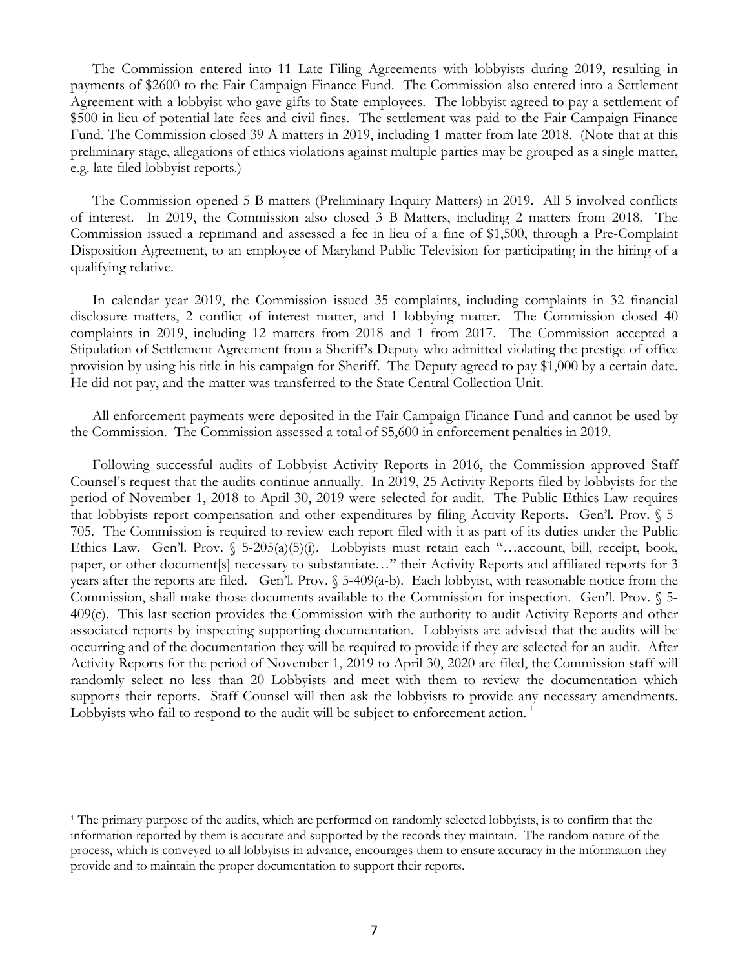The Commission entered into 11 Late Filing Agreements with lobbyists during 2019, resulting in payments of \$2600 to the Fair Campaign Finance Fund. The Commission also entered into a Settlement Agreement with a lobbyist who gave gifts to State employees. The lobbyist agreed to pay a settlement of \$500 in lieu of potential late fees and civil fines. The settlement was paid to the Fair Campaign Finance Fund. The Commission closed 39 A matters in 2019, including 1 matter from late 2018. (Note that at this preliminary stage, allegations of ethics violations against multiple parties may be grouped as a single matter, e.g. late filed lobbyist reports.)

The Commission opened 5 B matters (Preliminary Inquiry Matters) in 2019. All 5 involved conflicts of interest. In 2019, the Commission also closed 3 B Matters, including 2 matters from 2018. The Commission issued a reprimand and assessed a fee in lieu of a fine of \$1,500, through a Pre-Complaint Disposition Agreement, to an employee of Maryland Public Television for participating in the hiring of a qualifying relative.

In calendar year 2019, the Commission issued 35 complaints, including complaints in 32 financial disclosure matters, 2 conflict of interest matter, and 1 lobbying matter. The Commission closed 40 complaints in 2019, including 12 matters from 2018 and 1 from 2017. The Commission accepted a Stipulation of Settlement Agreement from a Sheriff's Deputy who admitted violating the prestige of office provision by using his title in his campaign for Sheriff. The Deputy agreed to pay \$1,000 by a certain date. He did not pay, and the matter was transferred to the State Central Collection Unit.

All enforcement payments were deposited in the Fair Campaign Finance Fund and cannot be used by the Commission. The Commission assessed a total of \$5,600 in enforcement penalties in 2019.

Following successful audits of Lobbyist Activity Reports in 2016, the Commission approved Staff Counsel's request that the audits continue annually. In 2019, 25 Activity Reports filed by lobbyists for the period of November 1, 2018 to April 30, 2019 were selected for audit. The Public Ethics Law requires that lobbyists report compensation and other expenditures by filing Activity Reports. Gen'l. Prov. § 5- 705. The Commission is required to review each report filed with it as part of its duties under the Public Ethics Law. Gen'l. Prov. § 5-205(a)(5)(i). Lobbyists must retain each "...account, bill, receipt, book, paper, or other document[s] necessary to substantiate…" their Activity Reports and affiliated reports for 3 years after the reports are filed. Gen'l. Prov. § 5-409(a-b). Each lobbyist, with reasonable notice from the Commission, shall make those documents available to the Commission for inspection. Gen'l. Prov. § 5- 409(c). This last section provides the Commission with the authority to audit Activity Reports and other associated reports by inspecting supporting documentation. Lobbyists are advised that the audits will be occurring and of the documentation they will be required to provide if they are selected for an audit. After Activity Reports for the period of November 1, 2019 to April 30, 2020 are filed, the Commission staff will randomly select no less than 20 Lobbyists and meet with them to review the documentation which supports their reports. Staff Counsel will then ask the lobbyists to provide any necessary amendments. Lobbyists who fail to respond to the audit will be subject to enforcement action.<sup>[1](#page-8-0)</sup>

<span id="page-8-0"></span> <sup>1</sup> The primary purpose of the audits, which are performed on randomly selected lobbyists, is to confirm that the information reported by them is accurate and supported by the records they maintain. The random nature of the process, which is conveyed to all lobbyists in advance, encourages them to ensure accuracy in the information they provide and to maintain the proper documentation to support their reports.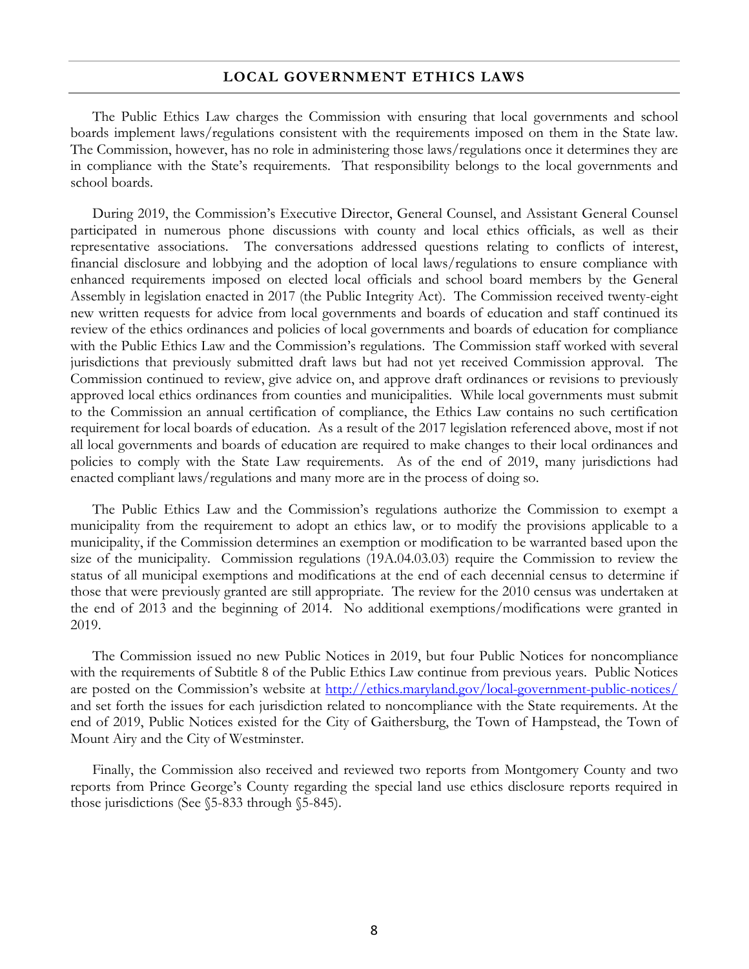#### **LOCAL GOVERNMENT ETHICS LAWS**

The Public Ethics Law charges the Commission with ensuring that local governments and school boards implement laws/regulations consistent with the requirements imposed on them in the State law. The Commission, however, has no role in administering those laws/regulations once it determines they are in compliance with the State's requirements. That responsibility belongs to the local governments and school boards.

During 2019, the Commission's Executive Director, General Counsel, and Assistant General Counsel participated in numerous phone discussions with county and local ethics officials, as well as their representative associations. The conversations addressed questions relating to conflicts of interest, financial disclosure and lobbying and the adoption of local laws/regulations to ensure compliance with enhanced requirements imposed on elected local officials and school board members by the General Assembly in legislation enacted in 2017 (the Public Integrity Act). The Commission received twenty-eight new written requests for advice from local governments and boards of education and staff continued its review of the ethics ordinances and policies of local governments and boards of education for compliance with the Public Ethics Law and the Commission's regulations. The Commission staff worked with several jurisdictions that previously submitted draft laws but had not yet received Commission approval. The Commission continued to review, give advice on, and approve draft ordinances or revisions to previously approved local ethics ordinances from counties and municipalities. While local governments must submit to the Commission an annual certification of compliance, the Ethics Law contains no such certification requirement for local boards of education. As a result of the 2017 legislation referenced above, most if not all local governments and boards of education are required to make changes to their local ordinances and policies to comply with the State Law requirements. As of the end of 2019, many jurisdictions had enacted compliant laws/regulations and many more are in the process of doing so.

The Public Ethics Law and the Commission's regulations authorize the Commission to exempt a municipality from the requirement to adopt an ethics law, or to modify the provisions applicable to a municipality, if the Commission determines an exemption or modification to be warranted based upon the size of the municipality. Commission regulations (19A.04.03.03) require the Commission to review the status of all municipal exemptions and modifications at the end of each decennial census to determine if those that were previously granted are still appropriate. The review for the 2010 census was undertaken at the end of 2013 and the beginning of 2014. No additional exemptions/modifications were granted in 2019.

The Commission issued no new Public Notices in 2019, but four Public Notices for noncompliance with the requirements of Subtitle 8 of the Public Ethics Law continue from previous years. Public Notices are posted on the Commission's website at<http://ethics.maryland.gov/local-government-public-notices/> and set forth the issues for each jurisdiction related to noncompliance with the State requirements. At the end of 2019, Public Notices existed for the City of Gaithersburg, the Town of Hampstead, the Town of Mount Airy and the City of Westminster.

Finally, the Commission also received and reviewed two reports from Montgomery County and two reports from Prince George's County regarding the special land use ethics disclosure reports required in those jurisdictions (See §5-833 through §5-845).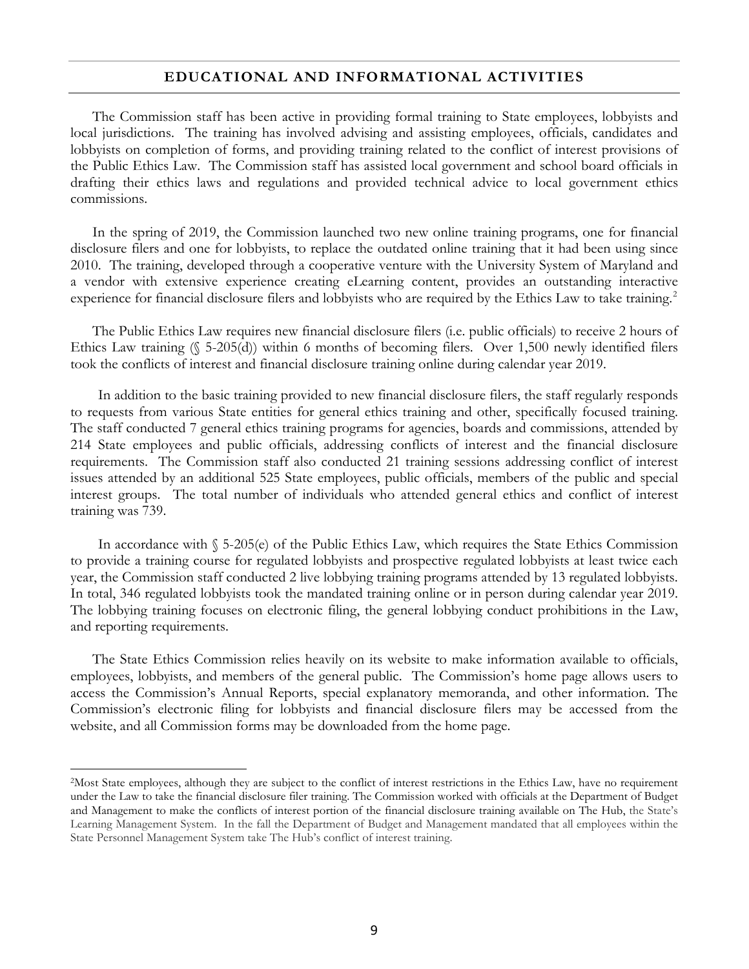#### **EDUCATIONAL AND INFORMATIONAL ACTIVITIES**

The Commission staff has been active in providing formal training to State employees, lobbyists and local jurisdictions. The training has involved advising and assisting employees, officials, candidates and lobbyists on completion of forms, and providing training related to the conflict of interest provisions of the Public Ethics Law. The Commission staff has assisted local government and school board officials in drafting their ethics laws and regulations and provided technical advice to local government ethics commissions.

In the spring of 2019, the Commission launched two new online training programs, one for financial disclosure filers and one for lobbyists, to replace the outdated online training that it had been using since 2010. The training, developed through a cooperative venture with the University System of Maryland and a vendor with extensive experience creating eLearning content, provides an outstanding interactive experience for financial disclosure filers and lobbyists who are required by the Ethics Law to take training.<sup>[2](#page-10-0)</sup>

The Public Ethics Law requires new financial disclosure filers (i.e. public officials) to receive 2 hours of Ethics Law training  $(\$ 5-205(d))$  within 6 months of becoming filers. Over 1,500 newly identified filers took the conflicts of interest and financial disclosure training online during calendar year 2019.

In addition to the basic training provided to new financial disclosure filers, the staff regularly responds to requests from various State entities for general ethics training and other, specifically focused training. The staff conducted 7 general ethics training programs for agencies, boards and commissions, attended by 214 State employees and public officials, addressing conflicts of interest and the financial disclosure requirements. The Commission staff also conducted 21 training sessions addressing conflict of interest issues attended by an additional 525 State employees, public officials, members of the public and special interest groups. The total number of individuals who attended general ethics and conflict of interest training was 739.

In accordance with § 5-205(e) of the Public Ethics Law, which requires the State Ethics Commission to provide a training course for regulated lobbyists and prospective regulated lobbyists at least twice each year, the Commission staff conducted 2 live lobbying training programs attended by 13 regulated lobbyists. In total, 346 regulated lobbyists took the mandated training online or in person during calendar year 2019. The lobbying training focuses on electronic filing, the general lobbying conduct prohibitions in the Law, and reporting requirements.

The State Ethics Commission relies heavily on its website to make information available to officials, employees, lobbyists, and members of the general public. The Commission's home page allows users to access the Commission's Annual Reports, special explanatory memoranda, and other information. The Commission's electronic filing for lobbyists and financial disclosure filers may be accessed from the website, and all Commission forms may be downloaded from the home page.

<span id="page-10-0"></span> <sup>2</sup>Most State employees, although they are subject to the conflict of interest restrictions in the Ethics Law, have no requirement under the Law to take the financial disclosure filer training. The Commission worked with officials at the Department of Budget and Management to make the conflicts of interest portion of the financial disclosure training available on The Hub, the State's Learning Management System. In the fall the Department of Budget and Management mandated that all employees within the State Personnel Management System take The Hub's conflict of interest training.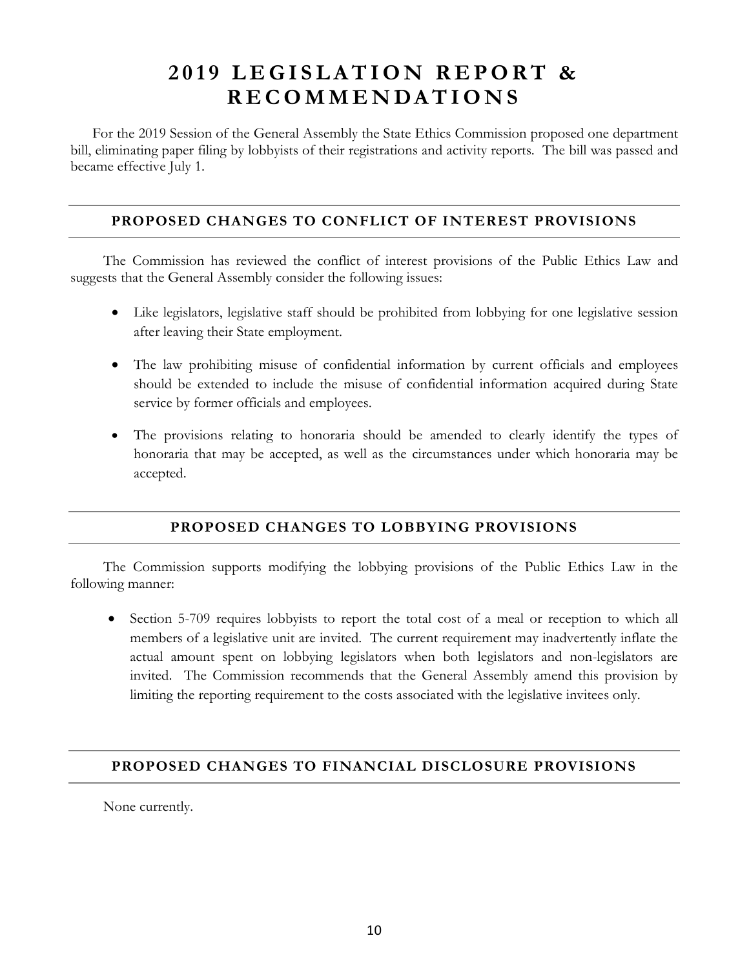# **2 0 1 9 LEGISLATION REPORT & RECOMMENDATI ONS**

For the 2019 Session of the General Assembly the State Ethics Commission proposed one department bill, eliminating paper filing by lobbyists of their registrations and activity reports. The bill was passed and became effective July 1.

#### **PROPOSED CHANGES TO CONFLICT OF INTEREST PROVISIONS**

The Commission has reviewed the conflict of interest provisions of the Public Ethics Law and suggests that the General Assembly consider the following issues:

- Like legislators, legislative staff should be prohibited from lobbying for one legislative session after leaving their State employment.
- The law prohibiting misuse of confidential information by current officials and employees should be extended to include the misuse of confidential information acquired during State service by former officials and employees.
- The provisions relating to honoraria should be amended to clearly identify the types of honoraria that may be accepted, as well as the circumstances under which honoraria may be accepted.

#### **PROPOSED CHANGES TO LOBBYING PROVISIONS**

The Commission supports modifying the lobbying provisions of the Public Ethics Law in the following manner:

• Section 5-709 requires lobbyists to report the total cost of a meal or reception to which all members of a legislative unit are invited. The current requirement may inadvertently inflate the actual amount spent on lobbying legislators when both legislators and non-legislators are invited. The Commission recommends that the General Assembly amend this provision by limiting the reporting requirement to the costs associated with the legislative invitees only.

#### **PROPOSED CHANGES TO FINANCIAL DISCLOSURE PROVISIONS**

None currently.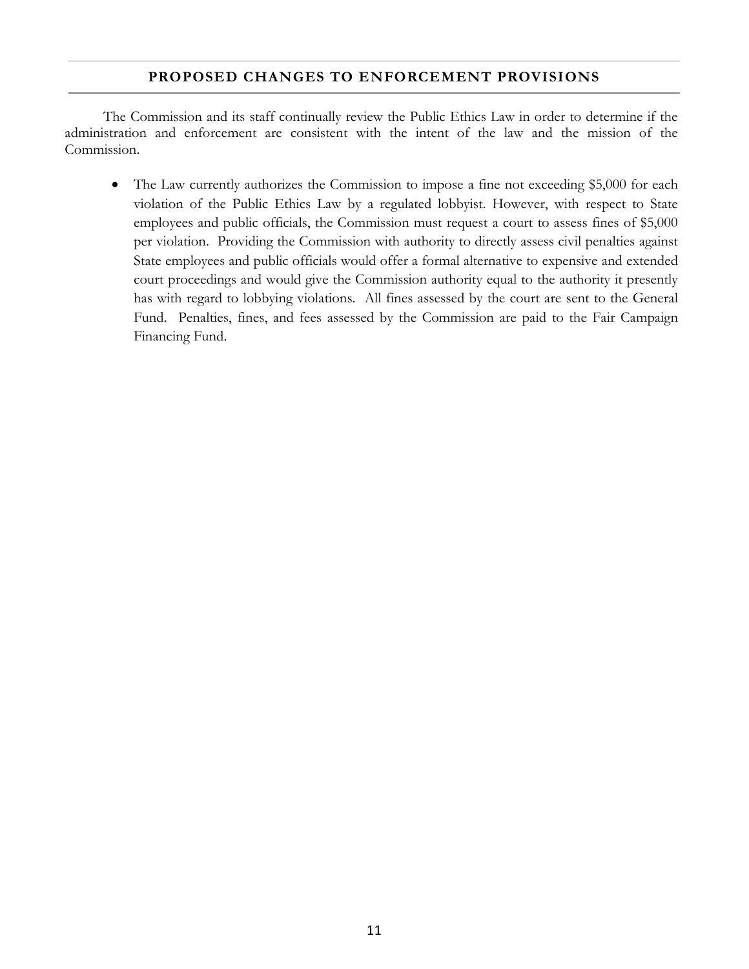#### **PROPOSED CHANGES TO ENFORCEMENT PROVISIONS**

The Commission and its staff continually review the Public Ethics Law in order to determine if the administration and enforcement are consistent with the intent of the law and the mission of the Commission.

• The Law currently authorizes the Commission to impose a fine not exceeding \$5,000 for each violation of the Public Ethics Law by a regulated lobbyist. However, with respect to State employees and public officials, the Commission must request a court to assess fines of \$5,000 per violation. Providing the Commission with authority to directly assess civil penalties against State employees and public officials would offer a formal alternative to expensive and extended court proceedings and would give the Commission authority equal to the authority it presently has with regard to lobbying violations. All fines assessed by the court are sent to the General Fund. Penalties, fines, and fees assessed by the Commission are paid to the Fair Campaign Financing Fund.